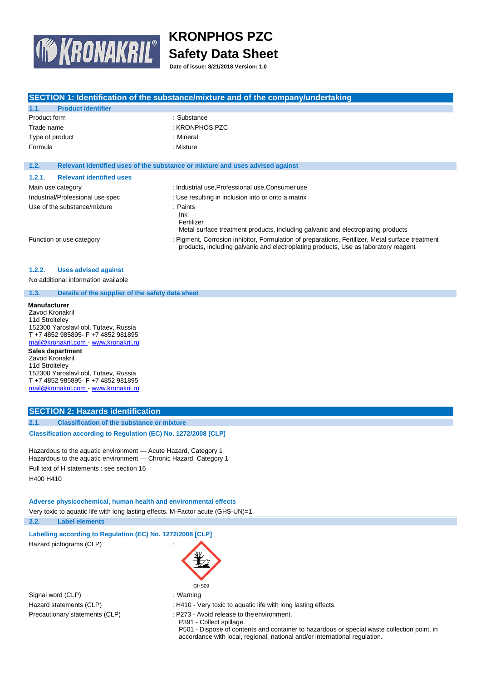

**Date of issue: 8/21/2018 Version: 1.0**

|                                                                                                                                                                                                                             | SECTION 1: Identification of the substance/mixture and of the company/undertaking                |  |  |
|-----------------------------------------------------------------------------------------------------------------------------------------------------------------------------------------------------------------------------|--------------------------------------------------------------------------------------------------|--|--|
| 1.1.<br><b>Product identifier</b>                                                                                                                                                                                           |                                                                                                  |  |  |
| Product form                                                                                                                                                                                                                | : Substance                                                                                      |  |  |
| Trade name                                                                                                                                                                                                                  | : KRONPHOS PZC                                                                                   |  |  |
| Type of product                                                                                                                                                                                                             | : Mineral                                                                                        |  |  |
| Formula                                                                                                                                                                                                                     | : Mixture                                                                                        |  |  |
|                                                                                                                                                                                                                             |                                                                                                  |  |  |
| 1.2.                                                                                                                                                                                                                        | Relevant identified uses of the substance or mixture and uses advised against                    |  |  |
| 1.2.1.<br><b>Relevant identified uses</b>                                                                                                                                                                                   |                                                                                                  |  |  |
| Main use category                                                                                                                                                                                                           | : Industrial use, Professional use, Consumer use                                                 |  |  |
| Industrial/Professional use spec                                                                                                                                                                                            | : Use resulting in inclusion into or onto a matrix                                               |  |  |
| Use of the substance/mixture                                                                                                                                                                                                | : Paints                                                                                         |  |  |
|                                                                                                                                                                                                                             | Ink                                                                                              |  |  |
|                                                                                                                                                                                                                             | Fertilizer<br>Metal surface treatment products, including galvanic and electroplating products   |  |  |
|                                                                                                                                                                                                                             | : Pigment, Corrosion inhibitor, Formulation of preparations, Fertilizer, Metal surface treatment |  |  |
| Function or use category                                                                                                                                                                                                    | products, including galvanic and electroplating products, Use as laboratory reagent              |  |  |
|                                                                                                                                                                                                                             |                                                                                                  |  |  |
| <b>Uses advised against</b><br>1.2.2.                                                                                                                                                                                       |                                                                                                  |  |  |
| No additional information available                                                                                                                                                                                         |                                                                                                  |  |  |
| 1.3.<br>Details of the supplier of the safety data sheet                                                                                                                                                                    |                                                                                                  |  |  |
| <b>Manufacturer</b><br>Zavod Kronakril<br>11d Stroiteley<br>152300 Yaroslavl obl, Tutaev, Russia<br>T+7 4852 985895- F+7 4852 981895<br>mail@kronakril.com - www.kronakril.ru<br><b>Sales department</b><br>Zavod Kronakril |                                                                                                  |  |  |
| 11d Stroiteley<br>152300 Yaroslavl obl, Tutaev, Russia                                                                                                                                                                      |                                                                                                  |  |  |
| T +7 4852 985895- F +7 4852 981895<br>mail@kronakril.com - www.kronakril.ru                                                                                                                                                 |                                                                                                  |  |  |
|                                                                                                                                                                                                                             |                                                                                                  |  |  |
| <b>SECTION 2: Hazards identification</b>                                                                                                                                                                                    |                                                                                                  |  |  |
| 2.1.<br><b>Classification of the substance or mixture</b>                                                                                                                                                                   |                                                                                                  |  |  |
| Classification according to Regulation (EC) No. 1272/2008 [CLP]                                                                                                                                                             |                                                                                                  |  |  |
| Hazardous to the aquatic environment - Acute Hazard, Category 1<br>Hazardous to the aquatic environment - Chronic Hazard, Category 1                                                                                        |                                                                                                  |  |  |
| Full text of H statements : see section 16                                                                                                                                                                                  |                                                                                                  |  |  |
| H400 H410                                                                                                                                                                                                                   |                                                                                                  |  |  |
| Adverse physicochemical, human health and environmental effects                                                                                                                                                             |                                                                                                  |  |  |
| Very toxic to aquatic life with long lasting effects. M-Factor acute (GHS-UN)=1.                                                                                                                                            |                                                                                                  |  |  |

**2.2. Label elements**

**Labelling according to Regulation (EC) No. 1272/2008 [CLP]** Hazard pictograms (CLP) :

Signal word (CLP)  $\qquad \qquad$ : Warning

Hazard statements (CLP) : H410 - Very toxic to aquatic life with long lasting effects.

Precautionary statements (CLP) : P273 - Avoid release to the environment.

GHS09

P391 - Collect spillage. P501 - Dispose of contents and container to hazardous or special waste collection point, in accordance with local, regional, national and/or international regulation.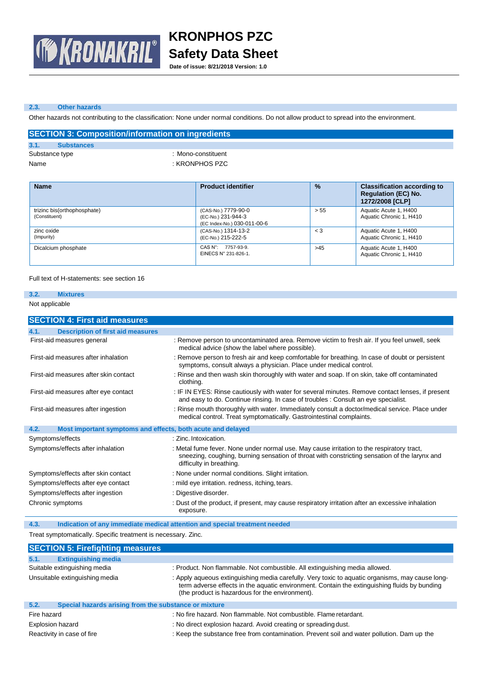

**Date of issue: 8/21/2018 Version: 1.0**

#### **2.3. Other hazards**

Other hazards not contributing to the classification: None under normal conditions. Do not allow product to spread into the environment.

|      |                   | <b>SECTION 3: Composition/information on ingredients</b> |
|------|-------------------|----------------------------------------------------------|
| 3.1. | <b>Substances</b> |                                                          |
|      | Substance type    | : Mono-constituent                                       |
| Name |                   | : KRONPHOS PZC                                           |

| <b>Name</b>                                  | <b>Product identifier</b>                                                | $\frac{9}{6}$ | <b>Classification according to</b><br><b>Regulation (EC) No.</b><br>1272/2008 [CLP] |
|----------------------------------------------|--------------------------------------------------------------------------|---------------|-------------------------------------------------------------------------------------|
| trizinc bis(orthophosphate)<br>(Constituent) | (CAS-No.) 7779-90-0<br>(EC-No.) 231-944-3<br>(EC Index-No.) 030-011-00-6 | > 55          | Aquatic Acute 1, H400<br>Aquatic Chronic 1, H410                                    |
| zinc oxide<br>(Impurity)                     | (CAS-No.) 1314-13-2<br>(EC-No.) 215-222-5                                | $\leq 3$      | Aquatic Acute 1, H400<br>Aquatic Chronic 1, H410                                    |
| Dicalcium phosphate                          | CAS N°: 7757-93-9.<br>EINECS N° 231-826-1.                               | >45           | Aquatic Acute 1, H400<br>Aquatic Chronic 1, H410                                    |

#### Full text of H-statements: see section 16

### **3.2. Mixtures**

Not applicable

| <b>SECTION 4: First aid measures</b>                                |                                                                                                                                                                                                                        |
|---------------------------------------------------------------------|------------------------------------------------------------------------------------------------------------------------------------------------------------------------------------------------------------------------|
| <b>Description of first aid measures</b><br>4.1.                    |                                                                                                                                                                                                                        |
| First-aid measures general                                          | : Remove person to uncontaminated area. Remove victim to fresh air. If you feel unwell, seek<br>medical advice (show the label where possible).                                                                        |
| First-aid measures after inhalation                                 | : Remove person to fresh air and keep comfortable for breathing. In case of doubt or persistent<br>symptoms, consult always a physician. Place under medical control.                                                  |
| First-aid measures after skin contact                               | : Rinse and then wash skin thoroughly with water and soap. If on skin, take off contaminated<br>clothing.                                                                                                              |
| First-aid measures after eye contact                                | : IF IN EYES: Rinse cautiously with water for several minutes. Remove contact lenses, if present<br>and easy to do. Continue rinsing. In case of troubles : Consult an eye specialist.                                 |
| First-aid measures after ingestion                                  | : Rinse mouth thoroughly with water. Immediately consult a doctor/medical service. Place under<br>medical control. Treat symptomatically. Gastrointestinal complaints.                                                 |
| Most important symptoms and effects, both acute and delayed<br>4.2. |                                                                                                                                                                                                                        |
| Symptoms/effects                                                    | : Zinc. Intoxication.                                                                                                                                                                                                  |
| Symptoms/effects after inhalation                                   | : Metal fume fever. None under normal use. May cause irritation to the respiratory tract,<br>sneezing, coughing, burning sensation of throat with constricting sensation of the larynx and<br>difficulty in breathing. |
| Symptoms/effects after skin contact                                 | : None under normal conditions. Slight irritation.                                                                                                                                                                     |
| Symptoms/effects after eye contact                                  | : mild eye irritation. redness, itching, tears.                                                                                                                                                                        |
| Symptoms/effects after ingestion                                    | : Digestive disorder.                                                                                                                                                                                                  |
| Chronic symptoms                                                    | : Dust of the product, if present, may cause respiratory irritation after an excessive inhalation<br>exposure.                                                                                                         |

**4.3. Indication of any immediate medical attention and special treatment needed**

Treat symptomatically. Specific treatment is necessary. Zinc.

| <b>SECTION 5: Firefighting measures</b>                       |                                                                                                                                                                                                                                                    |
|---------------------------------------------------------------|----------------------------------------------------------------------------------------------------------------------------------------------------------------------------------------------------------------------------------------------------|
| <b>Extinguishing media</b><br>5.1.                            |                                                                                                                                                                                                                                                    |
| Suitable extinguishing media                                  | : Product. Non flammable. Not combustible. All extinguishing media allowed.                                                                                                                                                                        |
| Unsuitable extinguishing media                                | : Apply aqueous extinguishing media carefully. Very toxic to aquatic organisms, may cause long-<br>term adverse effects in the aquatic environment. Contain the extinguishing fluids by bunding<br>(the product is hazardous for the environment). |
| Special hazards arising from the substance or mixture<br>5.2. |                                                                                                                                                                                                                                                    |
| Fire hazard                                                   | : No fire hazard. Non flammable. Not combustible. Flame retardant.                                                                                                                                                                                 |
| Explosion hazard                                              | : No direct explosion hazard. Avoid creating or spreading dust.                                                                                                                                                                                    |
| Reactivity in case of fire                                    | : Keep the substance free from contamination. Prevent soil and water pollution. Dam up the                                                                                                                                                         |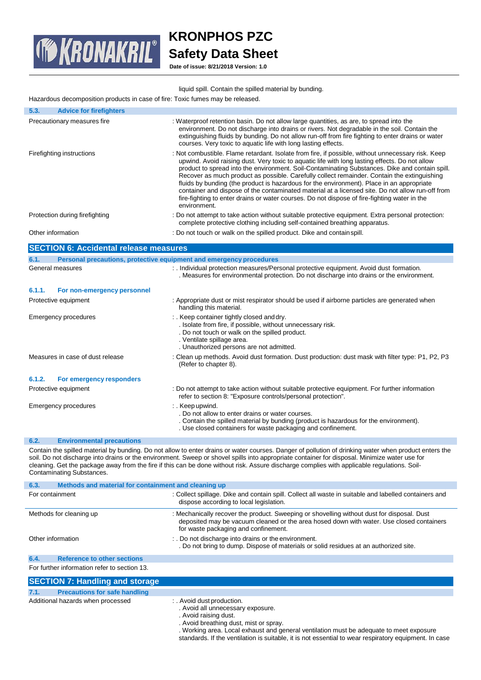

# **KRONPHOS PZC Safety Data Sheet**

**Date of issue: 8/21/2018 Version: 1.0**

| liquid spill. Contain the spilled material by bunding. |  |  |  |  |  |  |  |
|--------------------------------------------------------|--|--|--|--|--|--|--|
|--------------------------------------------------------|--|--|--|--|--|--|--|

Hazardous decomposition products in case of fire: Toxic fumes may be released.

| 5.3.<br><b>Advice for firefighters</b>                      |                                                                                                                                                                                                                                                                                                                                                                                                                                                                                                                                                                                                                                                                                                                        |
|-------------------------------------------------------------|------------------------------------------------------------------------------------------------------------------------------------------------------------------------------------------------------------------------------------------------------------------------------------------------------------------------------------------------------------------------------------------------------------------------------------------------------------------------------------------------------------------------------------------------------------------------------------------------------------------------------------------------------------------------------------------------------------------------|
| Precautionary measures fire                                 | : Waterproof retention basin. Do not allow large quantities, as are, to spread into the<br>environment. Do not discharge into drains or rivers. Not degradable in the soil. Contain the<br>extinguishing fluids by bunding. Do not allow run-off from fire fighting to enter drains or water<br>courses. Very toxic to aquatic life with long lasting effects.                                                                                                                                                                                                                                                                                                                                                         |
| Firefighting instructions                                   | : Not combustible. Flame retardant. Isolate from fire, if possible, without unnecessary risk. Keep<br>upwind. Avoid raising dust. Very toxic to aquatic life with long lasting effects. Do not allow<br>product to spread into the environment. Soil-Contaminating Substances. Dike and contain spill.<br>Recover as much product as possible. Carefully collect remainder. Contain the extinguishing<br>fluids by bunding (the product is hazardous for the environment). Place in an appropriate<br>container and dispose of the contaminated material at a licensed site. Do not allow run-off from<br>fire-fighting to enter drains or water courses. Do not dispose of fire-fighting water in the<br>environment. |
| Protection during firefighting                              | : Do not attempt to take action without suitable protective equipment. Extra personal protection:<br>complete protective clothing including self-contained breathing apparatus.                                                                                                                                                                                                                                                                                                                                                                                                                                                                                                                                        |
| Other information                                           | : Do not touch or walk on the spilled product. Dike and contain spill.                                                                                                                                                                                                                                                                                                                                                                                                                                                                                                                                                                                                                                                 |
| <b>SECTION 6: Accidental release measures</b>               |                                                                                                                                                                                                                                                                                                                                                                                                                                                                                                                                                                                                                                                                                                                        |
| 6.1.                                                        | Personal precautions, protective equipment and emergency procedures                                                                                                                                                                                                                                                                                                                                                                                                                                                                                                                                                                                                                                                    |
| General measures                                            | : . Individual protection measures/Personal protective equipment. Avoid dust formation.<br>. Measures for environmental protection. Do not discharge into drains or the environment.                                                                                                                                                                                                                                                                                                                                                                                                                                                                                                                                   |
| 6.1.1.<br>For non-emergency personnel                       |                                                                                                                                                                                                                                                                                                                                                                                                                                                                                                                                                                                                                                                                                                                        |
| Protective equipment                                        | : Appropriate dust or mist respirator should be used if airborne particles are generated when<br>handling this material.                                                                                                                                                                                                                                                                                                                                                                                                                                                                                                                                                                                               |
| <b>Emergency procedures</b>                                 | :. Keep container tightly closed and dry.<br>. Isolate from fire, if possible, without unnecessary risk.<br>. Do not touch or walk on the spilled product.<br>. Ventilate spillage area.<br>. Unauthorized persons are not admitted.                                                                                                                                                                                                                                                                                                                                                                                                                                                                                   |
| Measures in case of dust release                            | : Clean up methods. Avoid dust formation. Dust production: dust mask with filter type: P1, P2, P3<br>(Refer to chapter 8).                                                                                                                                                                                                                                                                                                                                                                                                                                                                                                                                                                                             |
| 6.1.2.<br>For emergency responders                          |                                                                                                                                                                                                                                                                                                                                                                                                                                                                                                                                                                                                                                                                                                                        |
| Protective equipment                                        | : Do not attempt to take action without suitable protective equipment. For further information<br>refer to section 8: "Exposure controls/personal protection".                                                                                                                                                                                                                                                                                                                                                                                                                                                                                                                                                         |
| <b>Emergency procedures</b>                                 | : Keep upwind.<br>. Do not allow to enter drains or water courses.<br>. Contain the spilled material by bunding (product is hazardous for the environment).<br>. Use closed containers for waste packaging and confinement.                                                                                                                                                                                                                                                                                                                                                                                                                                                                                            |
| 6.2.<br><b>Environmental precautions</b>                    |                                                                                                                                                                                                                                                                                                                                                                                                                                                                                                                                                                                                                                                                                                                        |
| <b>Contaminating Substances.</b>                            | Contain the spilled material by bunding. Do not allow to enter drains or water courses. Danger of pollution of drinking water when product enters the<br>soil. Do not discharge into drains or the environment. Sweep or shovel spills into appropriate container for disposal. Minimize water use for<br>cleaning. Get the package away from the fire if this can be done without risk. Assure discharge complies with applicable regulations. Soil-                                                                                                                                                                                                                                                                  |
| Mathods and material for containment and cleaning up<br>R 2 |                                                                                                                                                                                                                                                                                                                                                                                                                                                                                                                                                                                                                                                                                                                        |

| 0.3.                                         | <b>Metricas and material for containment and cleaning up</b>                                                                                                                                                                   |  |  |
|----------------------------------------------|--------------------------------------------------------------------------------------------------------------------------------------------------------------------------------------------------------------------------------|--|--|
| For containment                              | : Collect spillage. Dike and contain spill. Collect all waste in suitable and labelled containers and<br>dispose according to local legislation.                                                                               |  |  |
| Methods for cleaning up                      | : Mechanically recover the product. Sweeping or shovelling without dust for disposal. Dust<br>deposited may be vacuum cleaned or the area hosed down with water. Use closed containers<br>for waste packaging and confinement. |  |  |
| Other information                            | :. Do not discharge into drains or the environment.<br>. Do not bring to dump. Dispose of materials or solid residues at an authorized site.                                                                                   |  |  |
| 6.4.<br><b>Reference to other sections</b>   |                                                                                                                                                                                                                                |  |  |
| For further information refer to section 13. |                                                                                                                                                                                                                                |  |  |
| <b>SECTION 7: Handling and storage</b>       |                                                                                                                                                                                                                                |  |  |

|      | <b>SECTION 7: Handling and storage</b> |                                                                                                                                                                                                                                                                                                                                        |
|------|----------------------------------------|----------------------------------------------------------------------------------------------------------------------------------------------------------------------------------------------------------------------------------------------------------------------------------------------------------------------------------------|
| 7.1. | <b>Precautions for safe handling</b>   |                                                                                                                                                                                                                                                                                                                                        |
|      | Additional hazards when processed      | : . Avoid dust production.<br>. Avoid all unnecessary exposure.<br>. Avoid raising dust.<br>. Avoid breathing dust, mist or spray.<br>. Working area. Local exhaust and general ventilation must be adequate to meet exposure<br>standards. If the ventilation is suitable, it is not essential to wear respiratory equipment. In case |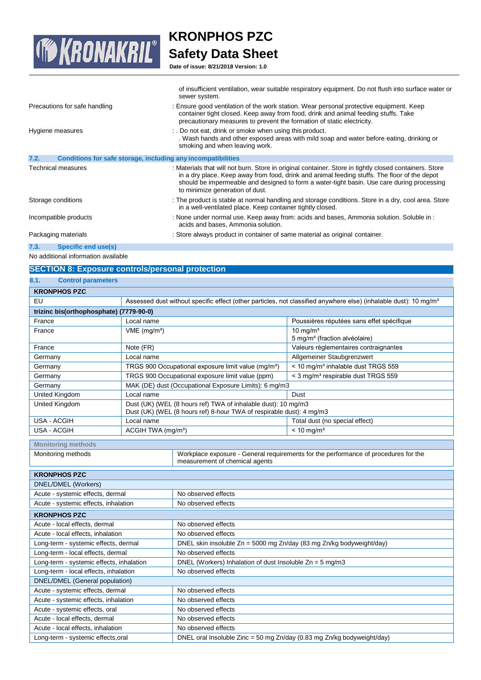

**Date of issue: 8/21/2018 Version: 1.0**

|                                                                      | sewer system.                                                                                                                                                                                                                                                                                                                           |
|----------------------------------------------------------------------|-----------------------------------------------------------------------------------------------------------------------------------------------------------------------------------------------------------------------------------------------------------------------------------------------------------------------------------------|
| Precautions for safe handling                                        | : Ensure good ventilation of the work station. Wear personal protective equipment. Keep<br>container tight closed. Keep away from food, drink and animal feeding stuffs. Take<br>precautionary measures to prevent the formation of static electricity.                                                                                 |
| Hygiene measures                                                     | :. Do not eat, drink or smoke when using this product.<br>. Wash hands and other exposed areas with mild soap and water before eating, drinking or<br>smoking and when leaving work.                                                                                                                                                    |
| 7.2.<br>Conditions for safe storage, including any incompatibilities |                                                                                                                                                                                                                                                                                                                                         |
| Technical measures                                                   | : Materials that will not burn. Store in original container. Store in tightly closed containers. Store<br>in a dry place. Keep away from food, drink and animal feeding stuffs. The floor of the depot<br>should be impermeable and designed to form a water-tight basin. Use care during processing<br>to minimize generation of dust. |
| Storage conditions                                                   | : The product is stable at normal handling and storage conditions. Store in a dry, cool area. Store<br>in a well-ventilated place. Keep container tightly closed.                                                                                                                                                                       |
| Incompatible products                                                | : None under normal use. Keep away from: acids and bases, Ammonia solution. Soluble in :<br>acids and bases, Ammonia solution.                                                                                                                                                                                                          |
| Packaging materials                                                  | : Store always product in container of same material as original container.                                                                                                                                                                                                                                                             |
| 7.3.<br>Specific end use(s)                                          |                                                                                                                                                                                                                                                                                                                                         |
| No additional information available                                  |                                                                                                                                                                                                                                                                                                                                         |

of insufficient ventilation, wear suitable respiratory equipment. Do not flush into surface water or

# **SECTION 8: Exposure controls/personal protection**

| 8.1.<br><b>Control parameters</b>        |                                |                                                                                                                                       |                                                                                                                              |
|------------------------------------------|--------------------------------|---------------------------------------------------------------------------------------------------------------------------------------|------------------------------------------------------------------------------------------------------------------------------|
| <b>KRONPHOS PZC</b>                      |                                |                                                                                                                                       |                                                                                                                              |
| EU                                       |                                |                                                                                                                                       | Assessed dust without specific effect (other particles, not classified anywhere else) (inhalable dust): 10 mg/m <sup>3</sup> |
| trizinc bis(orthophosphate) (7779-90-0)  |                                |                                                                                                                                       |                                                                                                                              |
| France                                   | Local name                     |                                                                                                                                       | Poussières réputées sans effet spécifique                                                                                    |
| France                                   | $VME$ (mg/m <sup>3</sup> )     |                                                                                                                                       | $10 \text{ mg/m}^3$                                                                                                          |
|                                          |                                |                                                                                                                                       | 5 mg/m <sup>3</sup> (fraction alvéolaire)                                                                                    |
| France                                   | Note (FR)                      |                                                                                                                                       | Valeurs règlementaires contraignantes                                                                                        |
| Germany                                  | Local name                     |                                                                                                                                       | Allgemeiner Staubgrenzwert                                                                                                   |
| Germany                                  |                                | TRGS 900 Occupational exposure limit value (mg/m <sup>3</sup> )                                                                       | < 10 mg/m <sup>3</sup> inhalable dust TRGS 559                                                                               |
| Germany                                  |                                | TRGS 900 Occupational exposure limit value (ppm)                                                                                      | < 3 mg/m <sup>3</sup> respirable dust TRGS 559                                                                               |
| Germany                                  |                                | MAK (DE) dust (Occupational Exposure Limits): 6 mg/m3                                                                                 |                                                                                                                              |
| <b>United Kingdom</b>                    | Local name                     |                                                                                                                                       | Dust                                                                                                                         |
| United Kingdom                           |                                | Dust (UK) (WEL (8 hours ref) TWA of inhalable dust): 10 mg/m3<br>Dust (UK) (WEL (8 hours ref) 8-hour TWA of respirable dust): 4 mg/m3 |                                                                                                                              |
| USA - ACGIH                              | Local name                     |                                                                                                                                       | Total dust (no special effect)                                                                                               |
| <b>USA - ACGIH</b>                       | ACGIH TWA (mg/m <sup>3</sup> ) |                                                                                                                                       | $< 10$ mg/m <sup>3</sup>                                                                                                     |
|                                          |                                |                                                                                                                                       |                                                                                                                              |
| <b>Monitoring methods</b>                |                                | Workplace exposure - General requirements for the performance of procedures for the                                                   |                                                                                                                              |
| Monitoring methods                       |                                | measurement of chemical agents                                                                                                        |                                                                                                                              |
|                                          |                                |                                                                                                                                       |                                                                                                                              |
| <b>KRONPHOS PZC</b>                      |                                |                                                                                                                                       |                                                                                                                              |
| DNEL/DMEL (Workers)                      |                                |                                                                                                                                       |                                                                                                                              |
| Acute - systemic effects, dermal         |                                | No observed effects                                                                                                                   |                                                                                                                              |
| Acute - systemic effects, inhalation     |                                | No observed effects                                                                                                                   |                                                                                                                              |
| <b>KRONPHOS PZC</b>                      |                                |                                                                                                                                       |                                                                                                                              |
| Acute - local effects, dermal            |                                | No observed effects                                                                                                                   |                                                                                                                              |
| Acute - local effects, inhalation        |                                | No observed effects                                                                                                                   |                                                                                                                              |
| Long-term - systemic effects, dermal     |                                | DNEL skin insoluble Zn = 5000 mg Zn/day (83 mg Zn/kg bodyweight/day)                                                                  |                                                                                                                              |
| Long-term - local effects, dermal        |                                | No observed effects                                                                                                                   |                                                                                                                              |
| Long-term - systemic effects, inhalation |                                | DNEL (Workers) Inhalation of dust Insoluble $Zn = 5$ mg/m3                                                                            |                                                                                                                              |
| Long-term - local effects, inhalation    |                                | No observed effects                                                                                                                   |                                                                                                                              |
| DNEL/DMEL (General population)           |                                |                                                                                                                                       |                                                                                                                              |
| Acute - systemic effects, dermal         |                                | No observed effects                                                                                                                   |                                                                                                                              |
| Acute - systemic effects, inhalation     |                                | No observed effects                                                                                                                   |                                                                                                                              |
| Acute - systemic effects, oral           |                                | No observed effects                                                                                                                   |                                                                                                                              |
| Acute - local effects, dermal            |                                | No observed effects                                                                                                                   |                                                                                                                              |
| Acute - local effects, inhalation        |                                | No observed effects                                                                                                                   |                                                                                                                              |
| Long-term - systemic effects, oral       |                                | DNEL oral Insoluble Zinc = 50 mg Zn/day (0.83 mg Zn/kg bodyweight/day)                                                                |                                                                                                                              |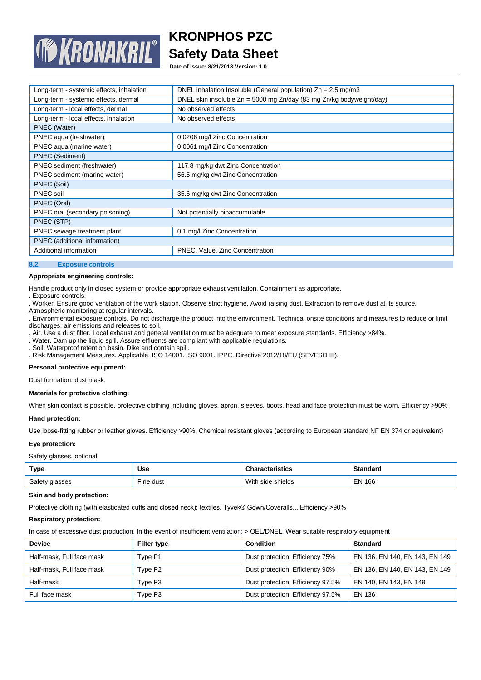

**Date of issue: 8/21/2018 Version: 1.0**

| Long-term - systemic effects, inhalation | DNEL inhalation Insoluble (General population) $Zn = 2.5$ mg/m3      |
|------------------------------------------|----------------------------------------------------------------------|
| Long-term - systemic effects, dermal     | DNEL skin insoluble Zn = 5000 mg Zn/day (83 mg Zn/kg bodyweight/day) |
| Long-term - local effects, dermal        | No observed effects                                                  |
| Long-term - local effects, inhalation    | No observed effects                                                  |
| PNEC (Water)                             |                                                                      |
| PNEC aqua (freshwater)                   | 0.0206 mg/l Zinc Concentration                                       |
| PNEC aqua (marine water)                 | 0.0061 mg/l Zinc Concentration                                       |
| <b>PNEC (Sediment)</b>                   |                                                                      |
| PNEC sediment (freshwater)               | 117.8 mg/kg dwt Zinc Concentration                                   |
| PNEC sediment (marine water)             | 56.5 mg/kg dwt Zinc Concentration                                    |
| PNEC (Soil)                              |                                                                      |
| PNEC soil                                | 35.6 mg/kg dwt Zinc Concentration                                    |
| PNEC (Oral)                              |                                                                      |
| PNEC oral (secondary poisoning)          | Not potentially bioaccumulable                                       |
| PNEC (STP)                               |                                                                      |
| PNEC sewage treatment plant              | 0.1 mg/l Zinc Concentration                                          |
| PNEC (additional information)            |                                                                      |
| Additional information                   | PNEC. Value. Zinc Concentration                                      |
|                                          |                                                                      |

#### **8.2. Exposure controls**

#### **Appropriate engineering controls:**

Handle product only in closed system or provide appropriate exhaust ventilation. Containment as appropriate.

. Exposure controls.

. Worker. Ensure good ventilation of the work station. Observe strict hygiene. Avoid raising dust. Extraction to remove dust at its source.

Atmospheric monitoring at regular intervals.

. Environmental exposure controls. Do not discharge the product into the environment. Technical onsite conditions and measures to reduce or limit discharges, air emissions and releases to soil.

. Air. Use a dust filter. Local exhaust and general ventilation must be adequate to meet exposure standards. Efficiency >84%.

. Water. Dam up the liquid spill. Assure effluents are compliant with applicable regulations.

. Soil. Waterproof retention basin. Dike and contain spill.

. Risk Management Measures. Applicable. ISO 14001. ISO 9001. IPPC. Directive 2012/18/EU (SEVESO III).

# **Personal protective equipment:**

Dust formation: dust mask.

#### **Materials for protective clothing:**

When skin contact is possible, protective clothing including gloves, apron, sleeves, boots, head and face protection must be worn. Efficiency >90%

#### **Hand protection:**

Use loose-fitting rubber or leather gloves. Efficiency >90%. Chemical resistant gloves (according to European standard NF EN 374 or equivalent)

#### **Eye protection:**

Safety glasses. optional

| <b>Type</b>    | Use                   | <b>Characteristics</b> | Standard      |
|----------------|-----------------------|------------------------|---------------|
| Safety glasses | <sup>-</sup> ine dust | With side shields      | <b>EN 166</b> |

#### **Skin and body protection:**

Protective clothing (with elasticated cuffs and closed neck): textiles, Tyvek® Gown/Coveralls... Efficiency >90%

#### **Respiratory protection:**

In case of excessive dust production. In the event of insufficient ventilation: > OEL/DNEL. Wear suitable respiratory equipment

| <b>Device</b>             | Filter type | <b>Condition</b>                  | <b>Standard</b>                |
|---------------------------|-------------|-----------------------------------|--------------------------------|
| Half-mask, Full face mask | Type P1     | Dust protection, Efficiency 75%   | EN 136, EN 140, EN 143, EN 149 |
| Half-mask, Full face mask | Type P2     | Dust protection, Efficiency 90%   | EN 136, EN 140, EN 143, EN 149 |
| Half-mask                 | Type P3     | Dust protection, Efficiency 97.5% | EN 140, EN 143, EN 149         |
| Full face mask            | Type P3     | Dust protection, Efficiency 97.5% | EN 136                         |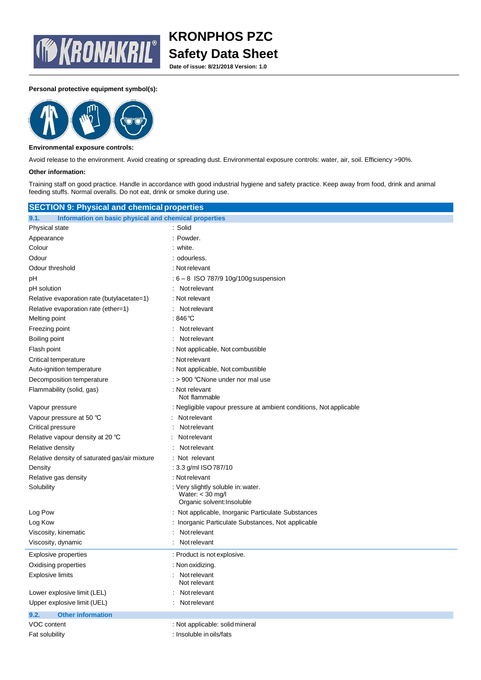

**Date of issue: 8/21/2018 Version: 1.0**

### **Personal protective equipment symbol(s):**



### **Environmental exposure controls:**

Avoid release to the environment. Avoid creating or spreading dust. Environmental exposure controls: water, air, soil. Efficiency >90%.

#### **Other information:**

Training staff on good practice. Handle in accordance with good industrial hygiene and safety practice. Keep away from food, drink and animal feeding stuffs. Normal overalls. Do not eat, drink or smoke during use.

| <b>SECTION 9: Physical and chemical properties</b>            |                                                                                        |  |  |
|---------------------------------------------------------------|----------------------------------------------------------------------------------------|--|--|
| 9.1.<br>Information on basic physical and chemical properties |                                                                                        |  |  |
| <b>Physical state</b>                                         | : Solid                                                                                |  |  |
| Appearance                                                    | : Powder.                                                                              |  |  |
| Colour                                                        | : white.                                                                               |  |  |
| Odour                                                         | : odourless.                                                                           |  |  |
| Odour threshold                                               | : Not relevant                                                                         |  |  |
| рH                                                            | $: 6 - 8$ ISO 787/9 10g/100g suspension                                                |  |  |
| pH solution                                                   | Not relevant                                                                           |  |  |
| Relative evaporation rate (butylacetate=1)                    | : Not relevant                                                                         |  |  |
| Relative evaporation rate (ether=1)                           | Not relevant                                                                           |  |  |
| Melting point                                                 | : 846 ℃                                                                                |  |  |
| Freezing point                                                | Not relevant                                                                           |  |  |
| Boiling point                                                 | Not relevant                                                                           |  |  |
| Flash point                                                   | : Not applicable, Not combustible                                                      |  |  |
| Critical temperature                                          | : Not relevant                                                                         |  |  |
| Auto-ignition temperature                                     | : Not applicable, Not combustible                                                      |  |  |
| Decomposition temperature                                     | : > 900 °CNone under nor mal use                                                       |  |  |
| Flammability (solid, gas)                                     | : Not relevant<br>Not flammable                                                        |  |  |
| Vapour pressure                                               | : Negligible vapour pressure at ambient conditions, Not applicable                     |  |  |
| Vapour pressure at 50 °C                                      | Not relevant                                                                           |  |  |
| Critical pressure                                             | Not relevant                                                                           |  |  |
| Relative vapour density at 20 °C                              | Not relevant                                                                           |  |  |
| Relative density                                              | Not relevant                                                                           |  |  |
| Relative density of saturated gas/air mixture                 | Not relevant                                                                           |  |  |
| Density                                                       | : 3.3 g/ml ISO 787/10                                                                  |  |  |
| Relative gas density                                          | : Not relevant                                                                         |  |  |
| Solubility                                                    | : Very slightly soluble in: water.<br>Water: $<$ 30 mg/l<br>Organic solvent: Insoluble |  |  |
| Log Pow                                                       | : Not applicable, Inorganic Particulate Substances                                     |  |  |
| Log Kow                                                       | : Inorganic Particulate Substances, Not applicable                                     |  |  |
| Viscosity, kinematic                                          | Not relevant                                                                           |  |  |
| Viscosity, dynamic                                            | Not relevant                                                                           |  |  |
| <b>Explosive properties</b>                                   | : Product is not explosive.                                                            |  |  |
| Oxidising properties                                          | : Non oxidizing.                                                                       |  |  |
| <b>Explosive limits</b>                                       | Not relevant<br>Not relevant                                                           |  |  |
| Lower explosive limit (LEL)                                   | Not relevant                                                                           |  |  |
| Upper explosive limit (UEL)                                   | Not relevant                                                                           |  |  |
| <b>Other information</b><br>9.2.                              |                                                                                        |  |  |
| VOC content                                                   | : Not applicable: solid mineral                                                        |  |  |
| Fat solubility                                                | : Insoluble in oils/fats                                                               |  |  |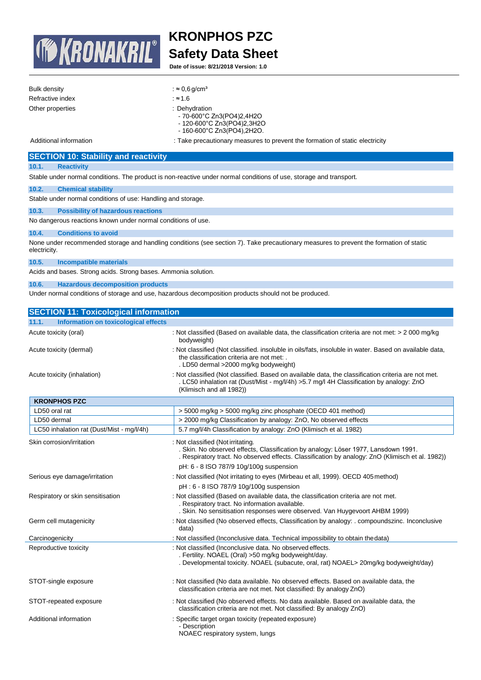

**Date of issue: 8/21/2018 Version: 1.0**

| Bulk density     | : $\approx$ 0.6 g/cm <sup>3</sup>                                                                               |
|------------------|-----------------------------------------------------------------------------------------------------------------|
| Refractive index | :≈1.6                                                                                                           |
| Other properties | : Dehydration<br>- 70-600°C Zn3(PO4)2,4H2O<br>- 120-600°C Zn3(PO4)2,3H2O<br>$-160-600^{\circ}$ C Zn3(PO4),2H2O. |

Additional information : Take precautionary measures to prevent the formation of static electricity

### **SECTION 10: Stability and reactivity**

### **10.1. Reactivity**

Stable under normal conditions. The product is non-reactive under normal conditions of use, storage and transport.

### **10.2. Chemical stability**

Stable under normal conditions of use: Handling and storage.

#### **10.3. Possibility of hazardous reactions**

No dangerous reactions known under normal conditions of use.

### **10.4. Conditions to avoid**

None under recommended storage and handling conditions (see section 7). Take precautionary measures to prevent the formation of static electricity.

**10.5. Incompatible materials**

Acids and bases. Strong acids. Strong bases. Ammonia solution.

### **10.6. Hazardous decomposition products**

Under normal conditions of storage and use, hazardous decomposition products should not be produced.

| <b>SECTION 11: Toxicological information</b>  |                                                                                                                                                                                                                             |
|-----------------------------------------------|-----------------------------------------------------------------------------------------------------------------------------------------------------------------------------------------------------------------------------|
| Information on toxicological effects<br>11.1. |                                                                                                                                                                                                                             |
| Acute toxicity (oral)                         | : Not classified (Based on available data, the classification criteria are not met: $> 2000$ mg/kg<br>bodyweight)                                                                                                           |
| Acute toxicity (dermal)                       | : Not classified (Not classified. insoluble in oils/fats, insoluble in water. Based on available data,<br>the classification criteria are not met: .<br>. LD50 dermal >2000 mg/kg bodyweight)                               |
| Acute toxicity (inhalation)                   | : Not classified (Not classified. Based on available data, the classification criteria are not met.<br>LC50 inhalation rat (Dust/Mist - mg/l/4h) > 5.7 mg/l 4H Classification by analogy: ZnO<br>(Klimisch and all 1982))   |
| <b>KRONPHOS PZC</b>                           |                                                                                                                                                                                                                             |
| LD50 oral rat                                 | > 5000 mg/kg > 5000 mg/kg zinc phosphate (OECD 401 method)                                                                                                                                                                  |
| LD50 dermal                                   | > 2000 mg/kg Classification by analogy: ZnO, No observed effects                                                                                                                                                            |
| LC50 inhalation rat (Dust/Mist - mg/l/4h)     | 5.7 mg/l/4h Classification by analogy: ZnO (Klimisch et al. 1982)                                                                                                                                                           |
| Skin corrosion/irritation                     | : Not classified (Not irritating.<br>. Skin. No observed effects, Classification by analogy: Löser 1977, Lansdown 1991.<br>. Respiratory tract. No observed effects. Classification by analogy: ZnO (Klimisch et al. 1982)) |
|                                               | pH: 6 - 8 ISO 787/9 10g/100g suspension                                                                                                                                                                                     |
| Serious eye damage/irritation                 | : Not classified (Not irritating to eyes (Mirbeau et all, 1999). OECD 405 method)                                                                                                                                           |
|                                               | pH: 6 - 8 ISO 787/9 10g/100g suspension                                                                                                                                                                                     |
| Respiratory or skin sensitisation             | : Not classified (Based on available data, the classification criteria are not met.<br>. Respiratory tract. No information available.<br>. Skin. No sensitisation responses were observed. Van Huygevoort AHBM 1999)        |
| Germ cell mutagenicity                        | : Not classified (No observed effects, Classification by analogy: . compoundszinc. Inconclusive<br>data)                                                                                                                    |
| Carcinogenicity                               | : Not classified (Inconclusive data. Technical impossibility to obtain the data)                                                                                                                                            |
| Reproductive toxicity                         | : Not classified (Inconclusive data. No observed effects.<br>. Fertility. NOAEL (Oral) >50 mg/kg bodyweight/day.<br>. Developmental toxicity. NOAEL (subacute, oral, rat) NOAEL> 20mg/kg bodyweight/day)                    |
| STOT-single exposure                          | : Not classified (No data available. No observed effects. Based on available data, the<br>classification criteria are not met. Not classified: By analogy ZnO)                                                              |
| STOT-repeated exposure                        | : Not classified (No observed effects. No data available. Based on available data, the<br>classification criteria are not met. Not classified: By analogy ZnO)                                                              |
| Additional information                        | : Specific target organ toxicity (repeated exposure)<br>- Description<br>NOAEC respiratory system, lungs                                                                                                                    |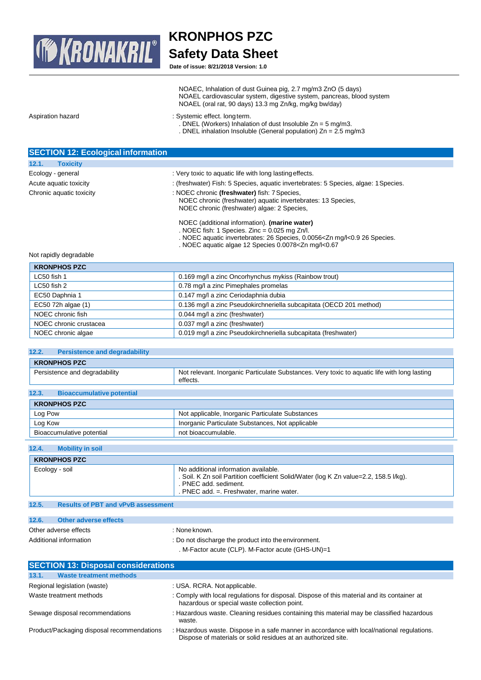

**Date of issue: 8/21/2018 Version: 1.0**

|                   | NOAEL cardiovascular system, digestive system, pancreas, blood system<br>NOAEL (oral rat, 90 days) 13.3 mg Zn/kg, mg/kg bw/day)                                     |
|-------------------|---------------------------------------------------------------------------------------------------------------------------------------------------------------------|
| Aspiration hazard | : Systemic effect. long term.<br>. DNEL (Workers) Inhalation of dust Insoluble $Zn = 5$ mg/m3.<br>. DNEL inhalation Insoluble (General population) $Zn = 2.5$ mg/m3 |

| <b>SECTION 12: Ecological information</b> |                                                                                                                                                             |
|-------------------------------------------|-------------------------------------------------------------------------------------------------------------------------------------------------------------|
| 12.1.<br><b>Toxicity</b>                  |                                                                                                                                                             |
| Ecology - general                         | : Very toxic to aquatic life with long lasting effects.                                                                                                     |
| Acute aquatic toxicity                    | : (freshwater) Fish: 5 Species, aquatic invertebrates: 5 Species, algae: 1 Species.                                                                         |
| Chronic aquatic toxicity                  | : NOEC chronic (freshwater) fish: 7 Species,<br>NOEC chronic (freshwater) aquatic invertebrates: 13 Species,<br>NOEC chronic (freshwater) algae: 2 Species, |
|                                           | NOEC (additional information). (marine water)<br>. NOEC fish: 1 Species. Zinc = $0.025$ mg Zn/l.                                                            |

. NOEC aquatic invertebrates: 26 Species, 0.0056<Zn mg/l<0.9 26 Species.

. NOEC aquatic algae 12 Species 0.0078<Zn mg/l<0.67

NOAEC, Inhalation of dust Guinea pig, 2.7 mg/m3 ZnO (5 days)

### Not rapidly degradable

| <b>KRONPHOS PZC</b>                                                                       |                                                                |
|-------------------------------------------------------------------------------------------|----------------------------------------------------------------|
| 0.169 mg/l a zinc Oncorhynchus mykiss (Rainbow trout)<br>LC50 fish 1                      |                                                                |
| 0.78 mg/l a zinc Pimephales promelas<br>LC50 fish 2                                       |                                                                |
| EC50 Daphnia 1                                                                            | 0.147 mg/l a zinc Ceriodaphnia dubia                           |
| 0.136 mg/l a zinc Pseudokirchneriella subcapitata (OECD 201 method)<br>EC50 72h algae (1) |                                                                |
| NOEC chronic fish                                                                         | 0.044 mg/l a zinc (freshwater)                                 |
| NOEC chronic crustacea                                                                    | 0.037 mg/l a zinc (freshwater)                                 |
| NOEC chronic algae                                                                        | 0.019 mg/l a zinc Pseudokirchneriella subcapitata (freshwater) |
|                                                                                           |                                                                |

# **12.2. Persistence and degradability**

| <b>KRONPHOS PZC</b>                       |                                                                                                          |
|-------------------------------------------|----------------------------------------------------------------------------------------------------------|
| Persistence and degradability             | Not relevant. Inorganic Particulate Substances. Very toxic to aquatic life with long lasting<br>effects. |
|                                           |                                                                                                          |
| 12.3.<br><b>Bioaccumulative potential</b> |                                                                                                          |

| <b>KRONPHOS PZC</b>       |                                                  |
|---------------------------|--------------------------------------------------|
| Log Pow                   | Not applicable, Inorganic Particulate Substances |
| Log Kow                   | Inorganic Particulate Substances, Not applicable |
| Bioaccumulative potential | not bioaccumulable.                              |

# **12.4. Mobility in soil**

| <b>KRONPHOS PZC</b> |                                           |                                                                                                                                                                                                       |
|---------------------|-------------------------------------------|-------------------------------------------------------------------------------------------------------------------------------------------------------------------------------------------------------|
|                     | Ecology - soil                            | No additional information available.<br>. Soil. K Zn soil Partition coefficient Solid/Water (log K Zn value=2.2, 158.5 l/kg).<br>. PNEC add. sediment.<br>. PNEC add. $=$ . Freshwater, marine water. |
|                     |                                           |                                                                                                                                                                                                       |
| 12.5.               | <b>Results of PBT and vPvB assessment</b> |                                                                                                                                                                                                       |

| 12.6. | Other adverse effects |               |  |
|-------|-----------------------|---------------|--|
|       | Other adverse effects | : None known. |  |

| Other adverse effects  | : None known.                                        |
|------------------------|------------------------------------------------------|
| Additional information | : Do not discharge the product into the environment. |
|                        | M-Factor acute (CLP). M-Factor acute (GHS-UN)=1      |

| <b>SECTION 13: Disposal considerations</b> |                                                                                                                                                             |  |
|--------------------------------------------|-------------------------------------------------------------------------------------------------------------------------------------------------------------|--|
| <b>Waste treatment methods</b><br>13.1.    |                                                                                                                                                             |  |
| Regional legislation (waste)               | : USA. RCRA. Not applicable.                                                                                                                                |  |
| Waste treatment methods                    | : Comply with local regulations for disposal. Dispose of this material and its container at<br>hazardous or special waste collection point.                 |  |
| Sewage disposal recommendations            | : Hazardous waste. Cleaning residues containing this material may be classified hazardous<br>waste.                                                         |  |
| Product/Packaging disposal recommendations | : Hazardous waste. Dispose in a safe manner in accordance with local/national regulations.<br>Dispose of materials or solid residues at an authorized site. |  |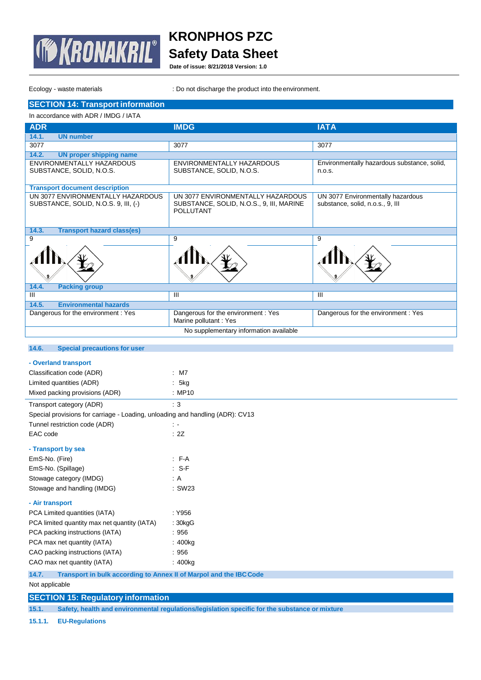

**Date of issue: 8/21/2018 Version: 1.0**

Ecology - waste materials **interpretent into the environment.** : Do not discharge the product into the environment.

# **SECTION 14: Transport information**

| In accordance with ADR / IMDG / IATA                                      |                                                                               |                                                                       |  |
|---------------------------------------------------------------------------|-------------------------------------------------------------------------------|-----------------------------------------------------------------------|--|
| <b>ADR</b>                                                                | <b>IMDG</b>                                                                   | <b>IATA</b>                                                           |  |
| 14.1.<br><b>UN number</b>                                                 |                                                                               |                                                                       |  |
| 3077                                                                      | 3077                                                                          | 3077                                                                  |  |
| 14.2.<br><b>UN proper shipping name</b>                                   |                                                                               |                                                                       |  |
| ENVIRONMENTALLY HAZARDOUS                                                 | ENVIRONMENTALLY HAZARDOUS                                                     | Environmentally hazardous substance, solid,                           |  |
| SUBSTANCE, SOLID, N.O.S.                                                  | SUBSTANCE, SOLID, N.O.S.                                                      | n.o.s.                                                                |  |
|                                                                           |                                                                               |                                                                       |  |
| <b>Transport document description</b>                                     |                                                                               |                                                                       |  |
| UN 3077 ENVIRONMENTALLY HAZARDOUS<br>SUBSTANCE, SOLID, N.O.S. 9, III, (-) | UN 3077 ENVIRONMENTALLY HAZARDOUS<br>SUBSTANCE, SOLID, N.O.S., 9, III, MARINE | UN 3077 Environmentally hazardous<br>substance, solid, n.o.s., 9, III |  |
|                                                                           | <b>POLLUTANT</b>                                                              |                                                                       |  |
|                                                                           |                                                                               |                                                                       |  |
| <b>Transport hazard class(es)</b><br>14.3.                                |                                                                               |                                                                       |  |
| 9                                                                         | 9                                                                             | 9                                                                     |  |
|                                                                           |                                                                               |                                                                       |  |
| 14.4.<br><b>Packing group</b>                                             |                                                                               |                                                                       |  |
| $\overline{\mathsf{III}}$                                                 | $\mathbf{III}$                                                                | $\mathbf{III}$                                                        |  |
| 14.5.<br><b>Environmental hazards</b>                                     |                                                                               |                                                                       |  |
| Dangerous for the environment : Yes                                       | Dangerous for the environment : Yes                                           | Dangerous for the environment: Yes                                    |  |
|                                                                           | Marine pollutant : Yes                                                        |                                                                       |  |
| No supplementary information available                                    |                                                                               |                                                                       |  |
|                                                                           |                                                                               |                                                                       |  |
| 14.6.<br><b>Special precautions for user</b>                              |                                                                               |                                                                       |  |
| - Overland transport                                                      |                                                                               |                                                                       |  |
| Classification code (ADR)                                                 | $:$ M7                                                                        |                                                                       |  |
| Limited quantities (ADR)                                                  | 5kg                                                                           |                                                                       |  |
| Mixed packing provisions (ADR)                                            | : MP10                                                                        |                                                                       |  |

| IVIIXED DACKING DIOVISIONS (ADR.)                                             | . MF IV        |
|-------------------------------------------------------------------------------|----------------|
| Transport category (ADR)                                                      | $\therefore$ 3 |
| Special provisions for carriage - Loading, unloading and handling (ADR): CV13 |                |
| Tunnel restriction code (ADR)                                                 | $\sim$         |
| EAC code                                                                      | : 2Z           |
| - Transport by sea                                                            |                |
| EmS-No. (Fire)                                                                | $F-A$          |
| EmS-No. (Spillage)                                                            | $: S-F$        |
| Stowage category (IMDG)                                                       | : A            |
| Stowage and handling (IMDG)                                                   | : SW23         |
| - Air transport                                                               |                |
| PCA Limited quantities (IATA)                                                 | : Y956         |
| PCA limited quantity max net quantity (IATA)                                  | : 30kgG        |
| PCA packing instructions (IATA)                                               | :956           |
| PCA max net quantity (IATA)                                                   | : 400kg        |
| CAO packing instructions (IATA)                                               | :956           |
| CAO max net quantity (IATA)                                                   | : 400kg        |
|                                                                               |                |

**14.7. Transport in bulk according to Annex II of Marpol and the IBCCode**

Not applicable

# **SECTION 15: Regulatory information**

**15.1. Safety, health and environmental regulations/legislation specific for the substance or mixture**

**15.1.1. EU-Regulations**